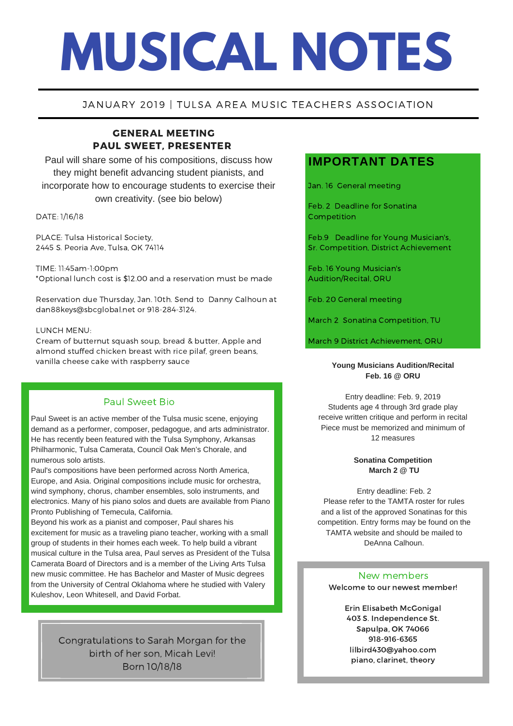# **MUSICAL NOTES**

## JANUARY 2019 | TULSA AREA MUSIC TEACHERS ASSOCIATION

# GENERAL MEETING PAUL SWEET, PRESENTER

Paul will share some of his compositions, discuss how they might benefit advancing student pianists, and incorporate how to encourage students to exercise their own creativity. (see bio below)

## DATE: 1/16/18

PLACE: Tulsa Historical Society, 2445 S. Peoria Ave, Tulsa, OK 74114

TIME: 11:45am-1:00pm \*Optional lunch cost is \$12.00 and a reservation must be made

Reservation due Thursday, Jan. 10th. Send to Danny Calhoun at dan88keys@sbcglobal.net or 918-284-3124.

## LUNCH MENU:

Cream of butternut squash soup, bread & butter, Apple and almond stuffed chicken breast with rice pilaf, green beans, vanilla cheese cake with raspberry sauce

# Paul Sweet Bio

Paul Sweet is an active member of the Tulsa music scene, enjoying demand as a performer, composer, pedagogue, and arts administrator. He has recently been featured with the Tulsa Symphony, Arkansas Philharmonic, Tulsa Camerata, Council Oak Men's Chorale, and numerous solo artists.

Paul's compositions have been performed across North America, Europe, and Asia. Original compositions include music for orchestra, wind symphony, chorus, chamber ensembles, solo instruments, and electronics. Many of his piano solos and duets are available from Piano Pronto Publishing of Temecula, California.

Beyond his work as a pianist and composer, Paul shares his excitement for music as a traveling piano teacher, working with a small group of students in their homes each week. To help build a vibrant musical culture in the Tulsa area, Paul serves as President of the Tulsa Camerata Board of Directors and is a member of the Living Arts Tulsa new music committee. He has Bachelor and Master of Music degrees from the University of Central Oklahoma where he studied with Valery Kuleshov, Leon Whitesell, and David Forbat.

> Congratulations to Sarah Morgan for the birth of her son, Micah Levi! Born 10/18/18

# **IMPORTANT DATES**

Jan. 16 General meeting

Feb. 2 Deadline for Sonatina Competition

Feb.9 Deadline for Young Musician's, Sr. Competition, District Achievement

Feb. 16 Young Musician's Audition/Recital, ORU

Feb. 20 General meeting

March 2 Sonatina Competition, TU

March 9 District Achievement, ORU

## **Young Musicians Audition/Recital Feb. 16 @ ORU**

Entry deadline: Feb. 9, 2019 Students age 4 through 3rd grade play receive written critique and perform in recital Piece must be memorized and minimum of 12 measures

## **Sonatina Competition March 2 @ TU**

Entry deadline: Feb. 2 Please refer to the TAMTA roster for rules and a list of the approved Sonatinas for this competition. Entry forms may be found on the TAMTA website and should be mailed to DeAnna Calhoun.

## Welcome to our newest member! New members

Erin Elisabeth McGonigal 403 S. Independence St. Sapulpa, OK 74066 918-916-6365 lilbird430@yahoo.com piano, clarinet, theory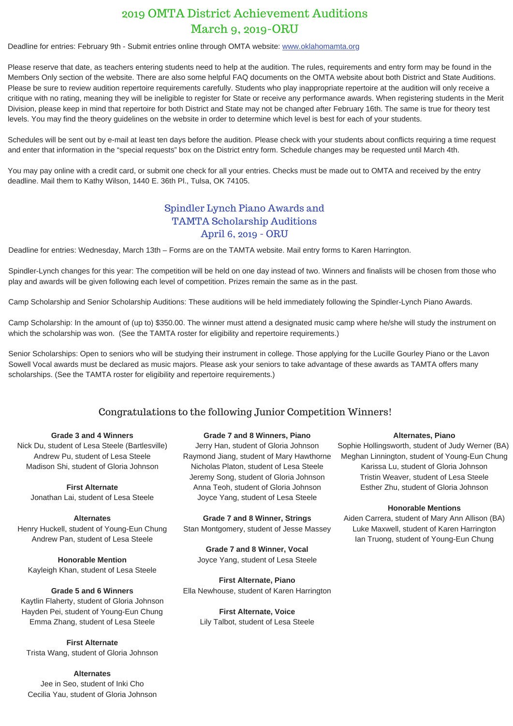# 2019 OMTA District Achievement Auditions March 9, 2019-ORU

Deadline for entries: February 9th - Submit entries online through OMTA website: [www.oklahomamta.org](http://www.oklahomamta.org/)

Please reserve that date, as teachers entering students need to help at the audition. The rules, requirements and entry form may be found in the Members Only section of the website. There are also some helpful FAQ documents on the OMTA website about both District and State Auditions. Please be sure to review audition repertoire requirements carefully. Students who play inappropriate repertoire at the audition will only receive a critique with no rating, meaning they will be ineligible to register for State or receive any performance awards. When registering students in the Merit Division, please keep in mind that repertoire for both District and State may not be changed after February 16th. The same is true for theory test levels. You may find the theory guidelines on the website in order to determine which level is best for each of your students.

Schedules will be sent out by e-mail at least ten days before the audition. Please check with your students about conflicts requiring a time request and enter that information in the "special requests" box on the District entry form. Schedule changes may be requested until March 4th.

You may pay online with a credit card, or submit one check for all your entries. Checks must be made out to OMTA and received by the entry deadline. Mail them to Kathy Wilson, 1440 E. 36th Pl., Tulsa, OK 74105.

# Spindler Lynch Piano Awards and TAMTA Scholarship Auditions April 6, 2019 - ORU

Deadline for entries: Wednesday, March 13th – Forms are on the TAMTA website. Mail entry forms to Karen Harrington.

Spindler-Lynch changes for this year: The competition will be held on one day instead of two. Winners and finalists will be chosen from those who play and awards will be given following each level of competition. Prizes remain the same as in the past.

Camp Scholarship and Senior Scholarship Auditions: These auditions will be held immediately following the Spindler-Lynch Piano Awards.

Camp Scholarship: In the amount of (up to) \$350.00. The winner must attend a designated music camp where he/she will study the instrument on which the scholarship was won. (See the TAMTA roster for eligibility and repertoire requirements.)

Senior Scholarships: Open to seniors who will be studying their instrument in college. Those applying for the Lucille Gourley Piano or the Lavon Sowell Vocal awards must be declared as music majors. Please ask your seniors to take advantage of these awards as TAMTA offers many<br>scholarshins. (See the TAMTA roster for eligibility and repertoire requirements.) scholarships. (See the TAMTA roster for eligibility and repertoire requirements.)

# Congratulations to the following Junior Competition Winners!

## **Grade 3 and 4 Winners**

Nick Du, student of Lesa Steele (Bartlesville) Andrew Pu, student of Lesa Steele Madison Shi, student of Gloria Johnson

> **First Alternate** Jonathan Lai, student of Lesa Steele

**Alternates** Henry Huckell, student of Young-Eun Chung Andrew Pan, student of Lesa Steele

**Honorable Mention** Kayleigh Khan, student of Lesa Steele

## **Grade 5 and 6 Winners**

Kaytlin Flaherty, student of Gloria Johnson Hayden Pei, student of Young-Eun Chung Emma Zhang, student of Lesa Steele

**First Alternate** Trista Wang, student of Gloria Johnson

## **Alternates**

Jee in Seo, student of Inki Cho Cecilia Yau, student of Gloria Johnson

## **Grade 7 and 8 Winners, Piano**

Jerry Han, student of Gloria Johnson Raymond Jiang, student of Mary Hawthorne Nicholas Platon, student of Lesa Steele Jeremy Song, student of Gloria Johnson Anna Teoh, student of Gloria Johnson Joyce Yang, student of Lesa Steele

**Grade 7 and 8 Winner, Strings** Stan Montgomery, student of Jesse Massey

**Grade 7 and 8 Winner, Vocal** Joyce Yang, student of Lesa Steele

**First Alternate, Piano** Ella Newhouse, student of Karen Harrington

> **First Alternate, Voice** Lily Talbot, student of Lesa Steele

## **Alternates, Piano**

Sophie Hollingsworth, student of Judy Werner (BA) Meghan Linnington, student of Young-Eun Chung Karissa Lu, student of Gloria Johnson Tristin Weaver, student of Lesa Steele Esther Zhu, student of Gloria Johnson

## **Honorable Mentions**

Aiden Carrera, student of Mary Ann Allison (BA) Luke Maxwell, student of Karen Harrington Ian Truong, student of Young-Eun Chung